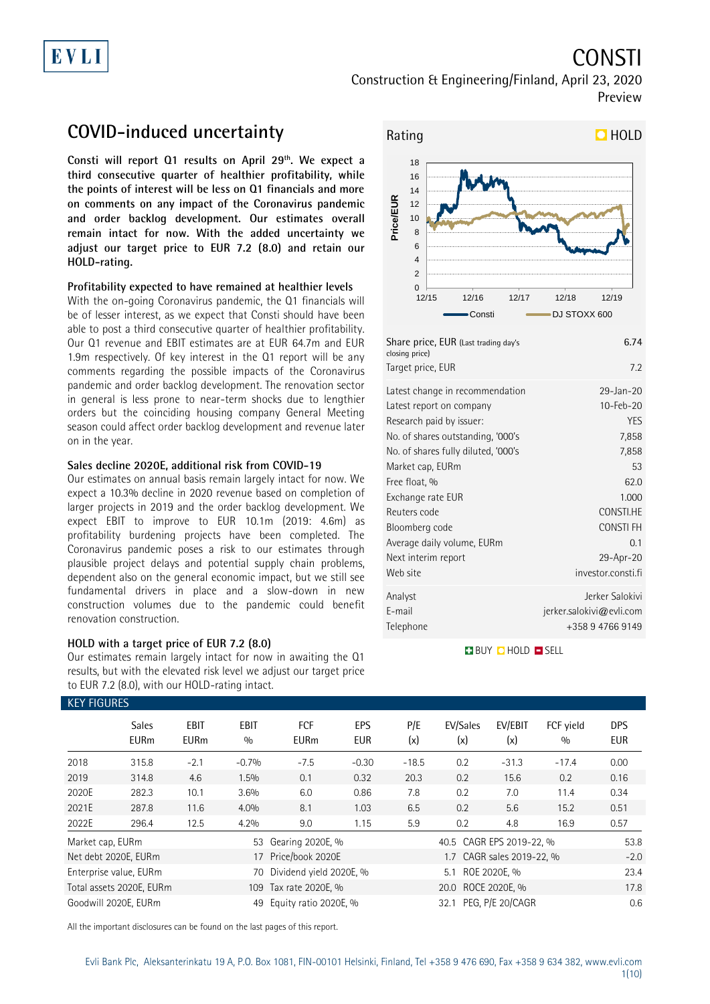## CONSTI

Construction & Engineering/Finland, April 23, 2020 Preview

## **COVID-induced uncertainty**

**Consti will report Q1 results on April 29th. We expect a third consecutive quarter of healthier profitability, while the points of interest will be less on Q1 financials and more on comments on any impact of the Coronavirus pandemic and order backlog development. Our estimates overall remain intact for now. With the added uncertainty we adjust our target price to EUR 7.2 (8.0) and retain our HOLD-rating.**

### **Profitability expected to have remained at healthier levels**

With the on-going Coronavirus pandemic, the Q1 financials will be of lesser interest, as we expect that Consti should have been able to post a third consecutive quarter of healthier profitability. Our Q1 revenue and EBIT estimates are at EUR 64.7m and EUR 1.9m respectively. Of key interest in the Q1 report will be any comments regarding the possible impacts of the Coronavirus pandemic and order backlog development. The renovation sector in general is less prone to near-term shocks due to lengthier orders but the coinciding housing company General Meeting season could affect order backlog development and revenue later on in the year.

### **Sales decline 2020E, additional risk from COVID-19**

Our estimates on annual basis remain largely intact for now. We expect a 10.3% decline in 2020 revenue based on completion of larger projects in 2019 and the order backlog development. We expect EBIT to improve to EUR 10.1m (2019: 4.6m) as profitability burdening projects have been completed. The Coronavirus pandemic poses a risk to our estimates through plausible project delays and potential supply chain problems, dependent also on the general economic impact, but we still see fundamental drivers in place and a slow-down in new construction volumes due to the pandemic could benefit renovation construction.

#### **HOLD with a target price of EUR 7.2 (8.0)**

Our estimates remain largely intact for now in awaiting the Q1 results, but with the elevated risk level we adjust our target price to EUR 7.2 (8.0), with our HOLD-rating intact.



| Share price, EUR (Last trading day's<br>closing price)<br>Target price, EUR | 6.74<br>7.2              |
|-----------------------------------------------------------------------------|--------------------------|
| Latest change in recommendation                                             | 29-Jan-20                |
| Latest report on company                                                    | 10-Feb-20                |
| Research paid by issuer:                                                    | <b>YES</b>               |
| No. of shares outstanding, '000's                                           | 7,858                    |
| No. of shares fully diluted, '000's                                         | 7,858                    |
| Market cap, EURm                                                            | 53                       |
| Free float, %                                                               | 62.0                     |
| Exchange rate EUR                                                           | 1.000                    |
| Reuters code                                                                | CONSTI.HE                |
| Bloomberg code                                                              | <b>CONSTIFH</b>          |
| Average daily volume, EURm                                                  | 0 <sub>1</sub>           |
| Next interim report                                                         | 29-Apr-20                |
| Web site                                                                    | investor.consti.fi       |
| Analyst                                                                     | Jerker Salokivi          |
| E-mail                                                                      | jerker.salokivi@evli.com |
| Telephone                                                                   | +358947669149            |

### **BUY QHOLD SELL**

| <b>KEY FIGURES</b> |                             |                     |                    |                                             |                                            |            |                          |                           |                  |                          |
|--------------------|-----------------------------|---------------------|--------------------|---------------------------------------------|--------------------------------------------|------------|--------------------------|---------------------------|------------------|--------------------------|
|                    | <b>Sales</b><br><b>EURm</b> | EBIT<br><b>EURm</b> | <b>EBIT</b><br>0/0 | <b>FCF</b><br><b>EURm</b>                   | <b>EPS</b><br><b>EUR</b>                   | P/E<br>(x) | EV/Sales<br>(x)          | EV/EBIT<br>(x)            | FCF yield<br>0/0 | <b>DPS</b><br><b>EUR</b> |
| 2018               | 315.8                       | $-2.1$              | $-0.7%$            | $-7.5$                                      | $-0.30$                                    | $-18.5$    | 0.2                      | $-31.3$                   | $-17.4$          | 0.00                     |
| 2019               | 314.8                       | 4.6                 | 1.5%               | 0.1                                         | 0.32                                       | 20.3       | 0.2                      | 15.6                      | 0.2              | 0.16                     |
| 2020E              | 282.3                       | 10.1                | 3.6%               | 6.0                                         | 0.86                                       | 7.8        | 0.2                      | 7.0                       | 11.4             | 0.34                     |
| 2021E              | 287.8                       | 11.6                | 4.0%               | 8.1                                         | 1.03                                       | 6.5        | 0.2                      | 5.6                       | 15.2             | 0.51                     |
| 2022E              | 296.4                       | 12.5                | 4.2%               | 9.0                                         | 1.15                                       | 5.9        | 0.2                      | 4.8                       | 16.9             | 0.57                     |
| Market cap, EURm   |                             |                     |                    | 53 Gearing 2020E, %                         |                                            |            | 40.5 CAGR EPS 2019-22, % |                           |                  | 53.8                     |
|                    | Net debt 2020E, EURm        |                     | 17                 | Price/book 2020E                            |                                            |            |                          | 1.7 CAGR sales 2019-22, % |                  | $-2.0$                   |
|                    | Enterprise value, EURm      |                     | 70                 | Dividend yield 2020E, %<br>5.1 ROE 2020E, % |                                            |            |                          |                           | 23.4             |                          |
|                    | Total assets 2020E, EURm    |                     | 109                |                                             | ROCE 2020E. %<br>Tax rate 2020E, %<br>20.0 |            |                          |                           |                  | 17.8                     |
|                    | Goodwill 2020E. EURm        |                     | 49                 | Equity ratio 2020E, %                       |                                            |            | 32.1                     | PEG. P/E 20/CAGR          |                  | 0.6                      |

All the important disclosures can be found on the last pages of this report.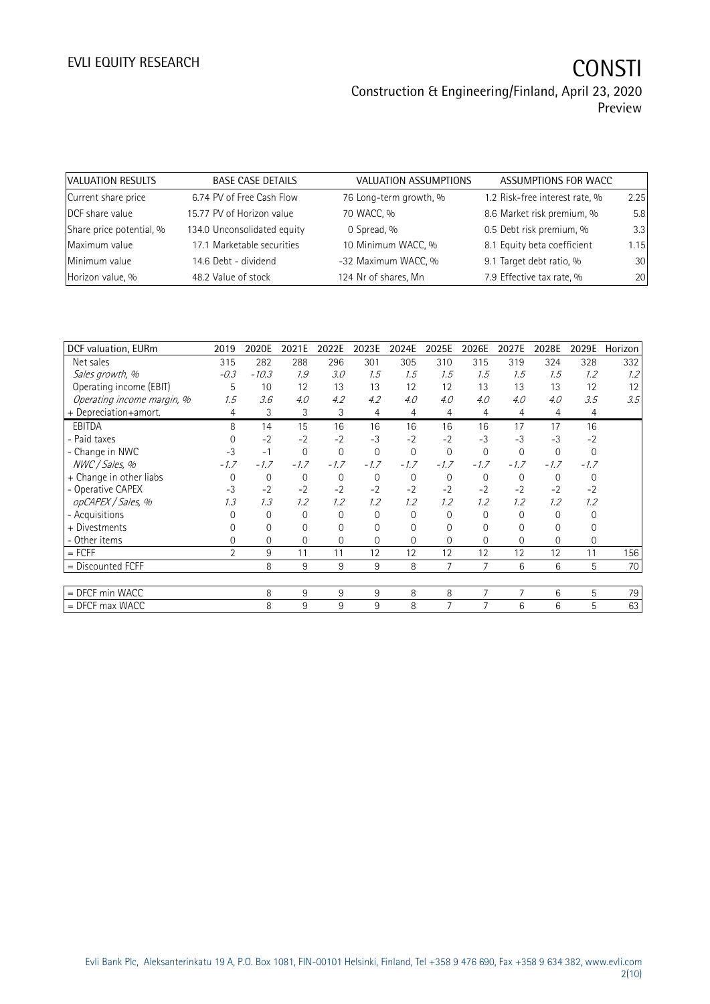# EVLI EQUITY RESEARCH **CONSTI**

### Construction & Engineering/Finland, April 23, 2020 Preview

| VALUATION RESULTS        | <b>BASE CASE DETAILS</b>    | VALUATION ASSUMPTIONS  | ASSUMPTIONS FOR WACC           |      |
|--------------------------|-----------------------------|------------------------|--------------------------------|------|
| Current share price      | 6.74 PV of Free Cash Flow   | 76 Long-term growth, % | 1.2 Risk-free interest rate, % | 2.25 |
| DCF share value          | 15.77 PV of Horizon value   | 70 WACC, %             | 8.6 Market risk premium, %     | 5.8  |
| Share price potential, % | 134.0 Unconsolidated equity | 0 Spread, %            | 0.5 Debt risk premium, %       | 3.3  |
| Maximum value            | 17.1 Marketable securities  | 10 Minimum WACC, %     | 8.1 Equity beta coefficient    | 1.15 |
| Minimum value            | 14.6 Debt - dividend        | -32 Maximum WACC, %    | 9.1 Target debt ratio, %       | 30   |
| Horizon value, %         | 48.2 Value of stock         | 124 Nr of shares, Mn   | 7.9 Effective tax rate, %      | 20   |

| DCF valuation, EURm        | 2019     | 2020E        | 2021E  | 2022E       | 2023E        | 2024E          | 2025E       | 2026E        | 2027E    | 2028E        | 2029E       | Horizon |
|----------------------------|----------|--------------|--------|-------------|--------------|----------------|-------------|--------------|----------|--------------|-------------|---------|
| Net sales                  | 315      | 282          | 288    | 296         | 301          | 305            | 310         | 315          | 319      | 324          | 328         | 332     |
| Sales growth, %            | $-0.3$   | $-10.3$      | 1.9    | 3.0         | 1.5          | 1.5            | 1.5         | 1.5          | 1.5      | 1.5          | 1.2         | 1.2     |
| Operating income (EBIT)    | 5        | 10           | 12     | 13          | 13           | 12             | 12          | 13           | 13       | 13           | 12          | 12      |
| Operating income margin, % | 1.5      | 3.6          | 4.0    | 4.2         | 4.2          | 4.0            | 4.0         | 4.0          | 4.0      | 4.0          | 3.5         | 3.5     |
| + Depreciation+amort.      | 4        | 3            | 3      | 3           | 4            | 4              | 4           | 4            | 4        | 4            | 4           |         |
| EBITDA                     | 8        | 14           | 15     | 16          | 16           | 16             | 16          | 16           | 17       | 17           | 16          |         |
| - Paid taxes               | $\Omega$ | $-2$         | $-2$   | $-2$        | $-3$         | $-2$           | $-2$        | $-3$         | $-3$     | $-3$         | $-2$        |         |
| - Change in NWC            | $-3$     | $-1$         | 0      | $\mathbf 0$ | $\mathbf{0}$ | $\overline{0}$ | $\mathbf 0$ | $\mathbf{0}$ | $\Omega$ | $\mathbf{0}$ | $\mathbf 0$ |         |
| NWC / Sales, %             | $-1.7$   | $-1.7$       | $-1.7$ | $-1.7$      | $-1.7$       | $-1.7$         | $-1.7$      | $-1.7$       | $-1.7$   | $-1.7$       | $-1.7$      |         |
| + Change in other liabs    | $\Omega$ | $\mathbf 0$  | 0      | 0           | $\mathbf 0$  | $\overline{0}$ | $\mathbf 0$ | $\mathbf 0$  | 0        | 0            | 0           |         |
| - Operative CAPEX          | -3       | $-2$         | $-2$   | $-2$        | $-2$         | $-2$           | $-2$        | $-2$         | $-2$     | $-2$         | $-2$        |         |
| opCAPEX / Sales, %         | 1.3      | 1.3          | 1.2    | 1.2         | 1.2          | 1.2            | 1.2         | 1.2          | 1.2      | 1.2          | 1.2         |         |
| - Acquisitions             |          | $\mathbf{0}$ | 0      | $\Omega$    | $\Omega$     | $\Omega$       | $\Omega$    | $\Omega$     | $\Omega$ | $\Omega$     | $\Omega$    |         |
| + Divestments              |          | 0            | O      | $\Omega$    | 0            | 0              | $\Omega$    | 0            | 0        |              |             |         |
| - Other items              | 0        | 0            | 0      | $\Omega$    | 0            | $\Omega$       | $\Omega$    | 0            | 0        | $\Omega$     | 0           |         |
| $=$ FCFF                   | 2        | 9            | 11     | 11          | 12           | 12             | 12          | 12           | 12       | 12           | 11          | 156     |
| $=$ Discounted FCFF        |          | 8            | 9      | 9           | 9            | 8              | 7           | 7            | 6        | 6            | 5           | 70      |
|                            |          |              |        |             |              |                |             |              |          |              |             |         |
| $=$ DFCF min WACC          |          | 8            | 9      | 9           | 9            | 8              | 8           | 7            | 7        | 6            | 5           | 79      |
| $=$ DFCF max WACC          |          | 8            | 9      | 9           | 9            | 8              |             | 7            | 6        | 6            | 5           | 63      |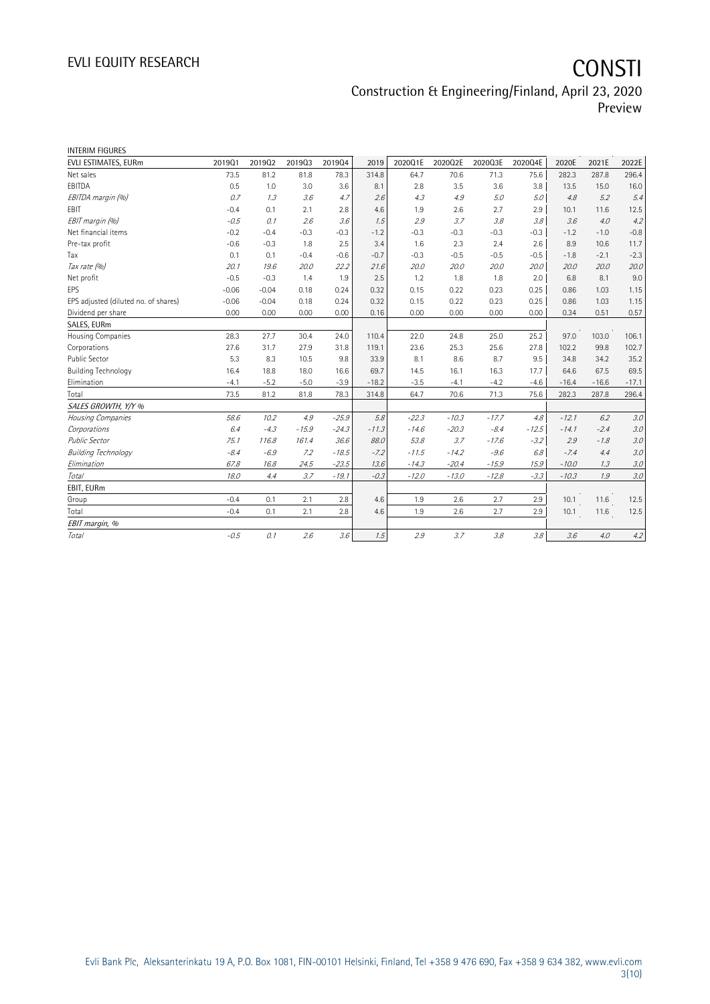# EVLI EQUITY RESEARCH **CONSTI**

### Construction & Engineering/Finland, April 23, 2020 Preview

| <b>INTERIM FIGURES</b>               |         |         |         |         |         |         |         |         |         |         |         |         |
|--------------------------------------|---------|---------|---------|---------|---------|---------|---------|---------|---------|---------|---------|---------|
| EVLI ESTIMATES, EURm                 | 201901  | 201902  | 201903  | 201904  | 2019    | 2020Q1E | 2020Q2E | 2020Q3E | 2020Q4E | 2020E   | 2021E   | 2022E   |
| Net sales                            | 73.5    | 81.2    | 81.8    | 78.3    | 314.8   | 64.7    | 70.6    | 71.3    | 75.6    | 282.3   | 287.8   | 296.4   |
| EBITDA                               | 0.5     | 1.0     | 3.0     | 3.6     | 8.1     | 2.8     | 3.5     | 3.6     | 3.8     | 13.5    | 15.0    | 16.0    |
| EBITDA margin (%)                    | 0.7     | 1.3     | 3.6     | 4.7     | 2.6     | 4.3     | 4.9     | 5.0     | 5.0     | 4.8     | 5.2     | 5.4     |
| EBIT                                 | $-0.4$  | 0.1     | 2.1     | 2.8     | 4.6     | 1.9     | 2.6     | 2.7     | 2.9     | 10.1    | 11.6    | 12.5    |
| EBIT margin (%)                      | $-0.5$  | 0.1     | 2.6     | 3.6     | 1.5     | 2.9     | 3.7     | 3.8     | 3.8     | 3.6     | 4.0     | 4.2     |
| Net financial items                  | $-0.2$  | $-0.4$  | $-0.3$  | $-0.3$  | $-1.2$  | $-0.3$  | $-0.3$  | $-0.3$  | $-0.3$  | $-1.2$  | $-1.0$  | $-0.8$  |
| Pre-tax profit                       | $-0.6$  | $-0.3$  | 1.8     | 2.5     | 3.4     | 1.6     | 2.3     | 2.4     | 2.6     | 8.9     | 10.6    | 11.7    |
| Tax                                  | 0.1     | 0.1     | $-0.4$  | $-0.6$  | $-0.7$  | $-0.3$  | $-0.5$  | $-0.5$  | $-0.5$  | $-1.8$  | $-2.1$  | $-2.3$  |
| Tax rate (%)                         | 20.1    | 19.6    | 20.0    | 22.2    | 21.6    | 20.0    | 20.0    | 20.0    | 20.0    | 20.0    | 20.0    | 20.0    |
| Net profit                           | $-0.5$  | $-0.3$  | 1.4     | 1.9     | 2.5     | 1.2     | 1.8     | 1.8     | 2.0     | 6.8     | 8.1     | 9.0     |
| <b>FPS</b>                           | $-0.06$ | $-0.04$ | 0.18    | 0.24    | 0.32    | 0.15    | 0.22    | 0.23    | 0.25    | 0.86    | 1.03    | 1.15    |
| EPS adjusted (diluted no. of shares) | $-0.06$ | $-0.04$ | 0.18    | 0.24    | 0.32    | 0.15    | 0.22    | 0.23    | 0.25    | 0.86    | 1.03    | 1.15    |
| Dividend per share                   | 0.00    | 0.00    | 0.00    | 0.00    | 0.16    | 0.00    | 0.00    | 0.00    | 0.00    | 0.34    | 0.51    | 0.57    |
| SALES, EURm                          |         |         |         |         |         |         |         |         |         |         |         |         |
| Housing Companies                    | 28.3    | 27.7    | 30.4    | 24.0    | 110.4   | 22.0    | 24.8    | 25.0    | 25.2    | 97.0    | 103.0   | 106.1   |
| Corporations                         | 27.6    | 31.7    | 27.9    | 31.8    | 119.1   | 23.6    | 25.3    | 25.6    | 27.8    | 102.2   | 99.8    | 102.7   |
| <b>Public Sector</b>                 | 5.3     | 8.3     | 10.5    | 9.8     | 33.9    | 8.1     | 8.6     | 8.7     | 9.5     | 34.8    | 34.2    | 35.2    |
| <b>Building Technology</b>           | 16.4    | 18.8    | 18.0    | 16.6    | 69.7    | 14.5    | 16.1    | 16.3    | 17.7    | 64.6    | 67.5    | 69.5    |
| Elimination                          | $-4.1$  | $-5.2$  | $-5.0$  | $-3.9$  | $-18.2$ | $-3.5$  | $-4.1$  | $-4.2$  | $-4.6$  | $-16.4$ | $-16.6$ | $-17.1$ |
| Total                                | 73.5    | 81.2    | 81.8    | 78.3    | 314.8   | 64.7    | 70.6    | 71.3    | 75.6    | 282.3   | 287.8   | 296.4   |
| SALES GROWTH, Y/Y %                  |         |         |         |         |         |         |         |         |         |         |         |         |
| Housing Companies                    | 58.6    | 10.2    | 4.9     | $-25.9$ | 5.8     | $-22.3$ | $-10.3$ | $-17.7$ | 4.8     | $-12.1$ | 6.2     | 3.0     |
| Corporations                         | 6.4     | $-4.3$  | $-15.9$ | $-24.3$ | $-11.3$ | $-14.6$ | $-20.3$ | $-8.4$  | $-12.5$ | $-14.1$ | $-2.4$  | 3.0     |
| <b>Public Sector</b>                 | 75.1    | 116.8   | 161.4   | 36.6    | 88.0    | 53.8    | 3.7     | $-17.6$ | $-3.2$  | 2.9     | $-1.8$  | 3.0     |
| <b>Building Technology</b>           | $-8.4$  | $-6.9$  | 7.2     | $-18.5$ | $-7.2$  | $-11.5$ | $-14.2$ | $-9.6$  | 6.8     | $-7.4$  | 4.4     | 3.0     |
| Elimination                          | 67.8    | 16.8    | 24.5    | $-23.5$ | 13.6    | $-14.3$ | $-20.4$ | $-15.9$ | 15.9    | $-10.0$ | 1.3     | 3.0     |
| Total                                | 18.0    | 4.4     | 3.7     | $-19.1$ | $-0.3$  | $-12.0$ | $-13.0$ | $-12.8$ | $-3.3$  | $-10.3$ | 1.9     | 3.0     |
| EBIT, EURm                           |         |         |         |         |         |         |         |         |         |         |         |         |
| Group                                | $-0.4$  | 0.1     | 2.1     | 2.8     | 4.6     | 1.9     | 2.6     | 2.7     | 2.9     | 10.1    | 11.6    | 12.5    |
| Total                                | $-0.4$  | 0.1     | 2.1     | 2.8     | 4.6     | 1.9     | 2.6     | 2.7     | 2.9     | 10.1    | 11.6    | 12.5    |
| EBIT margin, %                       |         |         |         |         |         |         |         |         |         |         |         |         |
| Total                                | $-0.5$  | 0.1     | 2.6     | 3.6     | 1.5     | 2.9     | 3.7     | 3.8     | 3.8     | 3.6     | 4.0     | 4.2     |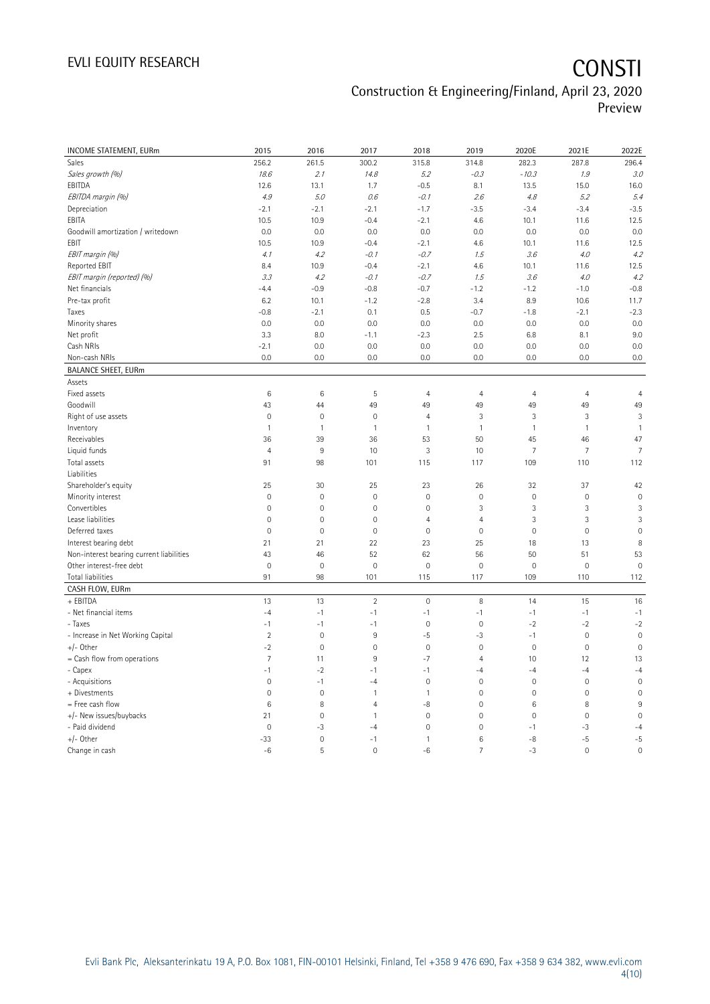# EVLI EQUITY RESEARCH **CONSTI**

### Construction & Engineering/Finland, April 23, 2020 Preview

| <b>INCOME STATEMENT, EURm</b>            | 2015                | 2016         | 2017                | 2018           | 2019           | 2020E          | 2021E          | 2022E          |
|------------------------------------------|---------------------|--------------|---------------------|----------------|----------------|----------------|----------------|----------------|
| Sales                                    | 256.2               | 261.5        | 300.2               | 315.8          | 314.8          | 282.3          | 287.8          | 296.4          |
| Sales growth (%)                         | 18.6                | 2.1          | 14.8                | 5.2            | $-0.3$         | $-10.3$        | $1.9\,$        | 3.0            |
| EBITDA                                   | 12.6                | 13.1         | 1.7                 | $-0.5$         | 8.1            | 13.5           | 15.0           | 16.0           |
| EBITDA margin (%)                        | 4.9                 | 5.0          | 0.6                 | $-0.1$         | 2.6            | 4.8            | 5.2            | 5.4            |
| Depreciation                             | $-2.1$              | $-2.1$       | $-2.1$              | $-1.7$         | $-3.5$         | $-3.4$         | $-3.4$         | $-3.5$         |
| EBITA                                    | 10.5                | 10.9         | $-0.4$              | $-2.1$         | 4.6            | 10.1           | 11.6           | 12.5           |
| Goodwill amortization / writedown        | 0.0                 | 0.0          | 0.0                 | 0.0            | 0.0            | 0.0            | 0.0            | 0.0            |
| EBIT                                     | 10.5                | 10.9         | $-0.4$              | $-2.1$         | 4.6            | 10.1           | 11.6           | 12.5           |
| EBIT margin (%)                          | 4.1                 | 4.2          | $-0.1$              | $-0.7$         | 1.5            | 3.6            | $4.0$          | 4.2            |
| Reported EBIT                            | 8.4                 | 10.9         | $-0.4$              | $-2.1$         | 4.6            | 10.1           | 11.6           | 12.5           |
| EBIT margin (reported) (%)               | 3.3                 | 4.2          | $-0.1$              | $-0.7$         | 1.5            | 3.6            | 4.0            | 4.2            |
| Net financials                           | $-4.4$              | $-0.9$       | $-0.8$              | $-0.7$         | $-1.2$         | $-1.2$         | $-1.0$         | $-0.8$         |
| Pre-tax profit                           | 6.2                 | 10.1         | $-1.2$              | $-2.8$         | 3.4            | 8.9            | 10.6           | 11.7           |
| Taxes                                    | $-0.8$              | $-2.1$       | 0.1                 | 0.5            | $-0.7$         | $-1.8$         | $-2.1$         | $-2.3$         |
| Minority shares                          | 0.0                 | 0.0          | 0.0                 | 0.0            | 0.0            | 0.0            | 0.0            | 0.0            |
| Net profit                               | 3.3                 | 8.0          | $-1.1$              | $-2.3$         | 2.5            | 6.8            | 8.1            | 9.0            |
| Cash NRIs                                | $-2.1$              | 0.0          | 0.0                 | 0.0            | 0.0            | 0.0            | 0.0            | 0.0            |
| Non-cash NRIs                            | 0.0                 | 0.0          | 0.0                 | 0.0            | 0.0            | 0.0            | 0.0            | 0.0            |
| <b>BALANCE SHEET, EURm</b>               |                     |              |                     |                |                |                |                |                |
| Assets                                   |                     |              |                     |                |                |                |                |                |
| Fixed assets                             | $\,6$               | $\,6\,$      | 5                   | $\overline{4}$ | $\overline{4}$ | $\overline{4}$ | $\overline{4}$ | $\overline{4}$ |
| Goodwill                                 | 43                  | 44           | 49                  | 49             | 49             | 49             | 49             | 49             |
| Right of use assets                      | $\mathsf{O}\xspace$ | $\mathbb O$  | $\mathbb O$         | $\overline{4}$ | 3              | 3              | 3              | 3              |
| Inventory                                | $\mathbf{1}$        | $\mathbf{1}$ | $\mathbf{1}$        | $\mathbf{1}$   | $\overline{1}$ | $\overline{1}$ | $\mathbf{1}$   | $\mathbf{1}$   |
| Receivables                              | 36                  | 39           | 36                  | 53             | 50             | 45             | 46             | 47             |
| Liquid funds                             | $\overline{4}$      | 9            | 10                  | 3              | 10             | $\overline{7}$ | 7              | 7              |
| Total assets                             | 91                  | 98           | 101                 | 115            | 117            | 109            | 110            | 112            |
| Liabilities                              |                     |              |                     |                |                |                |                |                |
| Shareholder's equity                     | 25                  | 30           | 25                  | 23             | 26             | 32             | 37             | 42             |
| Minority interest                        | $\mathsf{O}\xspace$ | $\mathbf 0$  | $\mathbf 0$         | $\mathbf 0$    | $\mathbf 0$    | $\mathbf 0$    | $\mathbf 0$    | $\mathbf 0$    |
| Convertibles                             | $\overline{0}$      | $\mathbf 0$  | $\overline{0}$      | $\mathbf 0$    | 3              | $\sqrt{3}$     | 3              | 3              |
| Lease liabilities                        | $\mathsf{O}\xspace$ | $\mathbf 0$  | $\mathsf{O}\xspace$ | $\overline{4}$ | $\overline{4}$ | 3              | 3              | 3              |
| Deferred taxes                           | $\mathbf 0$         | $\mathbf 0$  | $\mathbf 0$         | $\mathbf 0$    | $\mathbf 0$    | $\mathbf 0$    | $\mathbf 0$    | $\mathbf 0$    |
| Interest bearing debt                    | 21                  | 21           | 22                  | 23             | 25             | 18             | 13             | 8              |
| Non-interest bearing current liabilities | 43                  | 46           | 52                  | 62             | 56             | 50             | 51             | 53             |
| Other interest-free debt                 | $\overline{0}$      | $\mathbf 0$  | $\mathbf{0}$        | $\mathbf 0$    | $\mathbf 0$    | $\mathbf{0}$   | $\mathbf 0$    | $\overline{0}$ |
| Total liabilities                        | 91                  | 98           | 101                 | 115            | 117            | 109            | 110            | 112            |
| CASH FLOW, EURm                          |                     |              |                     |                |                |                |                |                |
| + EBITDA                                 | 13                  | 13           | $\overline{2}$      | $\mathbb O$    | 8              | 14             | 15             | 16             |
| - Net financial items                    | $-4$                | $-1$         | $-1$                | $-1$           | $-1$           | $-1$           | $-1$           | $-1$           |
| - Taxes                                  | $-1$                | $-1$         | $-1$                | $\mathbf 0$    | $\mathbf 0$    | $-2$           | $-2$           | $-2$           |
| - Increase in Net Working Capital        | $\overline{2}$      | $\mathbf 0$  | $\overline{9}$      | $-5$           | -3             | $-1$           | $\mathbf 0$    | $\mathbf 0$    |
| +/- Other                                | $-2$                | $\mathbf 0$  | $\mathbf 0$         | $\mathbf 0$    | $\mathbf 0$    | $\mathbf 0$    | $\mathbf 0$    | $\mathbf 0$    |
| = Cash flow from operations              | $\overline{7}$      | 11           | $\,9$               | $-7$           | $\overline{4}$ | 10             | 12             | 13             |
| - Capex                                  | $-1$                | $-2$         | $-1$                | $-1$           | $-4$           | $-4$           | $-4$           | $-4$           |
| - Acquisitions                           | $\mathsf{O}\xspace$ | $-1$         | $-4$                | $\mathbf 0$    | $\mathbf 0$    | $\mathbf 0$    | $\mathbf 0$    | $\mathbf 0$    |
| + Divestments                            | $\mathbf 0$         | $\mathbf 0$  | 1                   | $\mathbf{1}$   | $\mathbf 0$    | $\mathbf{0}$   | $\overline{0}$ | $\overline{0}$ |
| = Free cash flow                         | $\,6$               | 8            | $\overline{4}$      | -8             | $\mathbf 0$    | $\,6$          | 8              | 9              |
| +/- New issues/buybacks                  | 21                  | $\mathbf 0$  | 1                   | $\mathbf 0$    | $\mathbf 0$    | $\mathbf 0$    | 0              | $\mathbf 0$    |
| - Paid dividend                          | $\mathbf 0$         | $-3$         | $-4$                | $\mathbf 0$    | $\mathbf 0$    | $-1$           | $-3$           | $-4$           |
| +/- Other                                | $-33$               | $\mathbf 0$  | $-1$                | 1              | $\,6\,$        | -8             | $-5$           | $-5$           |
| Change in cash                           | $-6$                | 5            | $\overline{0}$      | $-6$           | $\overline{7}$ | $-3$           | $\overline{0}$ | $\overline{0}$ |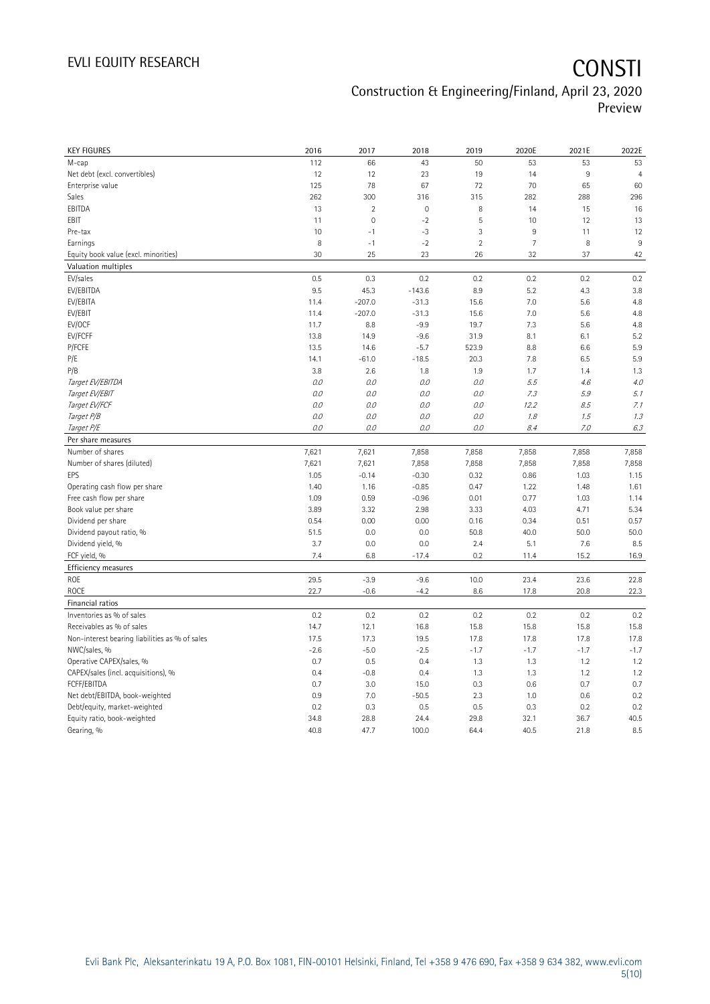| <b>KEY FIGURES</b>                             | 2016   | 2017        | 2018                | 2019           | 2020E          | 2021E  | 2022E          |
|------------------------------------------------|--------|-------------|---------------------|----------------|----------------|--------|----------------|
| M-cap                                          | 112    | 66          | 43                  | 50             | 53             | 53     | 53             |
| Net debt (excl. convertibles)                  | 12     | 12          | 23                  | 19             | 14             | 9      | $\overline{4}$ |
| Enterprise value                               | 125    | 78          | 67                  | 72             | 70             | 65     | 60             |
| Sales                                          | 262    | 300         | 316                 | 315            | 282            | 288    | 296            |
| EBITDA                                         | 13     | $\sqrt{2}$  | $\mathsf{O}\xspace$ | 8              | 14             | 15     | 16             |
| EBIT                                           | 11     | $\mathbf 0$ | $-2$                | 5              | 10             | 12     | 13             |
| Pre-tax                                        | 10     | $-1$        | $-3$                | 3              | 9              | 11     | 12             |
| Earnings                                       | 8      | $-1$        | $-2$                | $\overline{2}$ | $\overline{7}$ | 8      | 9              |
| Equity book value (excl. minorities)           | 30     | 25          | 23                  | 26             | 32             | 37     | 42             |
| Valuation multiples                            |        |             |                     |                |                |        |                |
| EV/sales                                       | 0.5    | 0.3         | 0.2                 | 0.2            | 0.2            | 0.2    | 0.2            |
| EV/EBITDA                                      | 9.5    | 45.3        | $-143.6$            | 8.9            | 5.2            | 4.3    | 3.8            |
| EV/EBITA                                       | 11.4   | $-207.0$    | $-31.3$             | 15.6           | 7.0            | 5.6    | 4.8            |
| EV/EBIT                                        | 11.4   | $-207.0$    | $-31.3$             | 15.6           | 7.0            | 5.6    | 4.8            |
| EV/OCF                                         | 11.7   | 8.8         | $-9.9$              | 19.7           | 7.3            | 5.6    | 4.8            |
| EV/FCFF                                        | 13.8   | 14.9        | $-9.6$              | 31.9           | 8.1            | 6.1    | 5.2            |
| P/FCFE                                         | 13.5   | 14.6        | $-5.7$              | 523.9          | 8.8            | 6.6    | 5.9            |
| P/E                                            | 14.1   | $-61.0$     | $-18.5$             | 20.3           | 7.8            | 6.5    | 5.9            |
| P/B                                            | 3.8    | 2.6         | 1.8                 | 1.9            | 1.7            | 1.4    | 1.3            |
| Target EV/EBITDA                               | 0.0    | 0.0         | 0.0                 | 0.0            | 5.5            | 4.6    | 4.0            |
| Target EV/EBIT                                 | $O.O$  | 0.0         | 0.0                 | 0.0            | 7.3            | 5.9    | 5.1            |
| Target EV/FCF                                  | 0.0    | 0.0         | 0.0                 | O.O            | 12.2           | 8.5    | 7.1            |
| Target P/B                                     | 0.0    | 0.0         | 0.0                 | 0.0            | 1.8            | 1.5    | 1.3            |
| Target P/E                                     | 0.0    | 0.0         | 0.0                 | 0.0            | 8.4            | 7.0    | 6.3            |
| Per share measures                             |        |             |                     |                |                |        |                |
| Number of shares                               | 7,621  | 7,621       | 7,858               | 7,858          | 7,858          | 7,858  | 7,858          |
| Number of shares (diluted)                     | 7,621  | 7,621       | 7,858               | 7,858          | 7,858          | 7,858  | 7,858          |
| EPS                                            | 1.05   | $-0.14$     | $-0.30$             | 0.32           | 0.86           | 1.03   | 1.15           |
| Operating cash flow per share                  | 1.40   | 1.16        | $-0.85$             | 0.47           | 1.22           | 1.48   | 1.61           |
| Free cash flow per share                       | 1.09   | 0.59        | $-0.96$             | 0.01           | 0.77           | 1.03   | 1.14           |
| Book value per share                           | 3.89   | 3.32        | 2.98                | 3.33           | 4.03           | 4.71   | 5.34           |
| Dividend per share                             | 0.54   | 0.00        | 0.00                | 0.16           | 0.34           | 0.51   | 0.57           |
|                                                | 51.5   | 0.0         | 0.0                 | 50.8           | 40.0           | 50.0   | 50.0           |
| Dividend payout ratio, %<br>Dividend yield, %  | 3.7    | 0.0         | 0.0                 | 2.4            | 5.1            | 7.6    | 8.5            |
| FCF yield, %                                   | 7.4    | 6.8         | $-17.4$             | 0.2            | 11.4           | 15.2   | 16.9           |
|                                                |        |             |                     |                |                |        |                |
| Efficiency measures                            |        |             |                     |                |                |        |                |
| ROE                                            | 29.5   | $-3.9$      | $-9.6$              | 10.0           | 23.4           | 23.6   | 22.8           |
| <b>ROCE</b>                                    | 22.7   | $-0.6$      | $-4.2$              | 8.6            | 17.8           | 20.8   | 22.3           |
| Financial ratios                               |        |             |                     |                |                |        |                |
| Inventories as % of sales                      | 0.2    | 0.2         | 0.2                 | 0.2            | 0.2            | 0.2    | 0.2            |
| Receivables as % of sales                      | 14.7   | 12.1        | 16.8                | 15.8           | 15.8           | 15.8   | 15.8           |
| Non-interest bearing liabilities as % of sales | 17.5   | 17.3        | 19.5                | 17.8           | 17.8           | 17.8   | 17.8           |
| NWC/sales, %                                   | $-2.6$ | $-5.0$      | $-2.5$              | $-1.7$         | $-1.7$         | $-1.7$ | $-1.7$         |
| Operative CAPEX/sales, %                       | 0.7    | 0.5         | 0.4                 | 1.3            | 1.3            | 1.2    | 1.2            |
| CAPEX/sales (incl. acquisitions), %            | 0.4    | $-0.8$      | 0.4                 | 1.3            | 1.3            | 1.2    | 1.2            |
| FCFF/EBITDA                                    | 0.7    | 3.0         | 15.0                | 0.3            | 0.6            | 0.7    | 0.7            |
| Net debt/EBITDA, book-weighted                 | 0.9    | 7.0         | $-50.5$             | 2.3            | 1.0            | 0.6    | 0.2            |
| Debt/equity, market-weighted                   | 0.2    | 0.3         | 0.5                 | 0.5            | 0.3            | 0.2    | 0.2            |
| Equity ratio, book-weighted                    | 34.8   | 28.8        | 24.4                | 29.8           | 32.1           | 36.7   | 40.5           |
| Gearing, %                                     | 40.8   | 47.7        | 100.0               | 64.4           | 40.5           | 21.8   | 8.5            |

#### Evli Bank Plc, Aleksanterinkatu 19 A, P.O. Box 1081, FIN-00101 Helsinki, Finland, Tel +358 9 476 690, Fax +358 9 634 382, [www.evli.com](http://www.evli.com/) 5(10)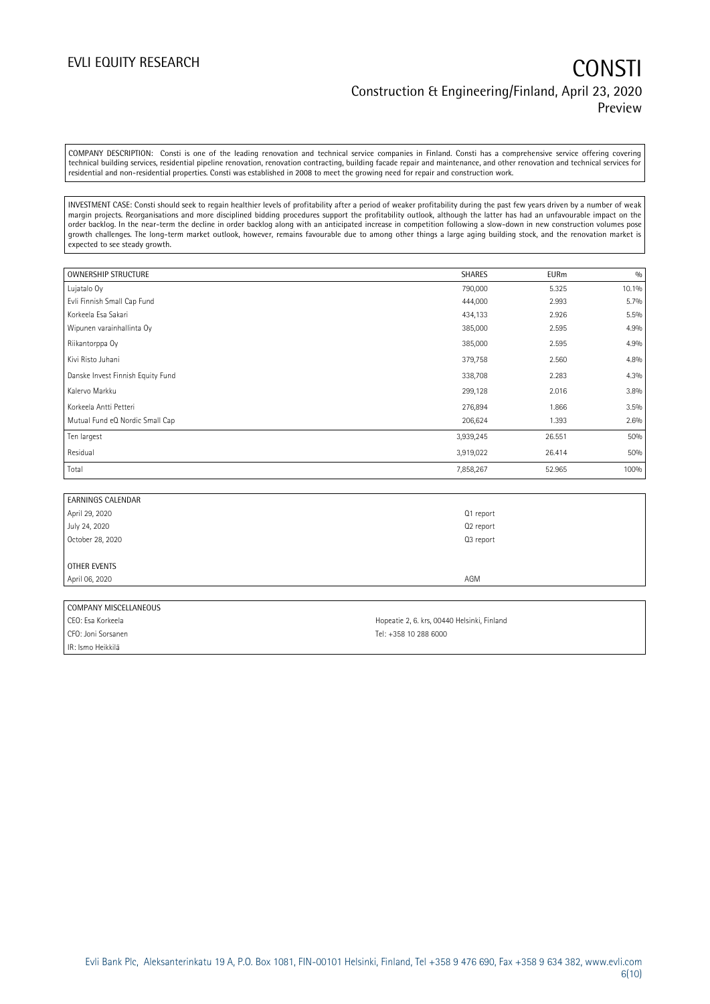COMPANY DESCRIPTION: Consti is one of the leading renovation and technical service companies in Finland. Consti has a comprehensive service offering covering technical building services, residential pipeline renovation, renovation contracting, building facade repair and maintenance, and other renovation and technical services for residential and non-residential properties. Consti was established in 2008 to meet the growing need for repair and construction work.

INVESTMENT CASE: Consti should seek to regain healthier levels of profitability after a period of weaker profitability during the past few years driven by a number of weak margin projects. Reorganisations and more disciplined bidding procedures support the profitability outlook, although the latter has had an unfavourable impact on the order backlog. In the near-term the decline in order backlog along with an anticipated increase in competition following a slow-down in new construction volumes pose growth challenges. The long-term market outlook, however, remains favourable due to among other things a large aging building stock, and the renovation market is expected to see steady growth.

| OWNERSHIP STRUCTURE               | <b>SHARES</b> | <b>EURm</b> | 0/0   |
|-----------------------------------|---------------|-------------|-------|
| Lujatalo Oy                       | 790,000       | 5.325       | 10.1% |
| Evli Finnish Small Cap Fund       | 444,000       | 2.993       | 5.7%  |
| Korkeela Esa Sakari               | 434,133       | 2.926       | 5.5%  |
| Wipunen varainhallinta Oy         | 385,000       | 2.595       | 4.9%  |
| Riikantorppa Oy                   | 385,000       | 2.595       | 4.9%  |
| Kivi Risto Juhani                 | 379,758       | 2.560       | 4.8%  |
| Danske Invest Finnish Equity Fund | 338,708       | 2.283       | 4.3%  |
| Kalervo Markku                    | 299,128       | 2.016       | 3.8%  |
| Korkeela Antti Petteri            | 276,894       | 1.866       | 3.5%  |
| Mutual Fund eQ Nordic Small Cap   | 206,624       | 1.393       | 2.6%  |
| Ten largest                       | 3,939,245     | 26.551      | 50%   |
| Residual                          | 3,919,022     | 26.414      | 50%   |
| Total                             | 7,858,267     | 52.965      | 100%  |

| Q1 report |
|-----------|
| Q2 report |
| Q3 report |
|           |
|           |
| AGM       |
|           |

### COMPANY MISCELLANEOUS

CFO: Joni Sorsanen Tel: +358 10 288 6000 IR: Ismo Heikkilä

CEO: Esa Korkeela **Hopeatie 2, 6. krs, 00440 Helsinki, Finland**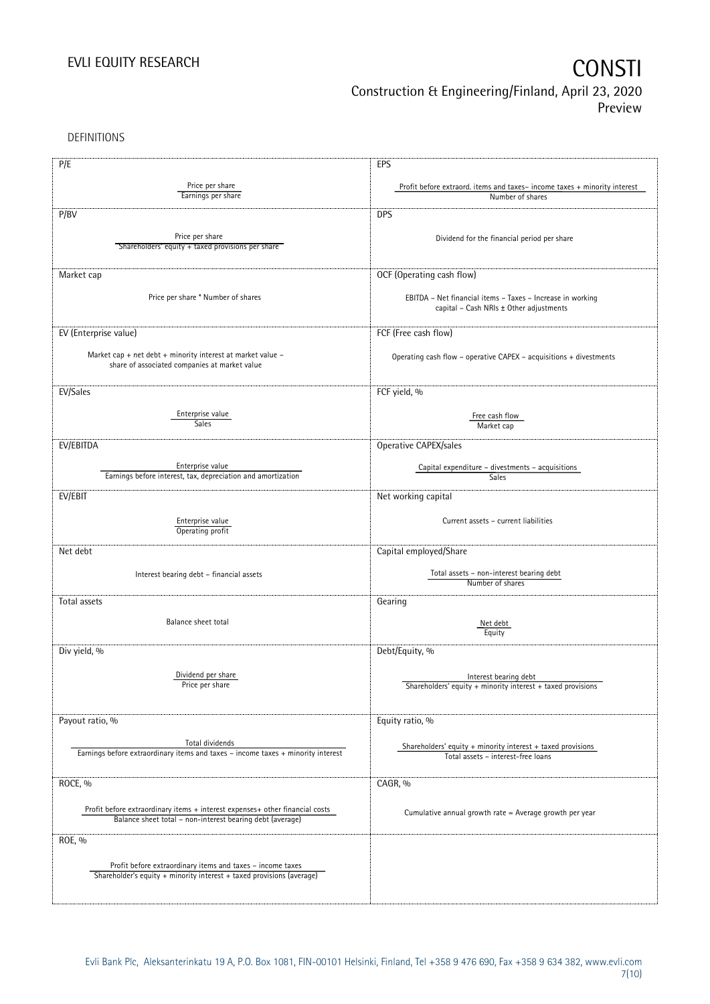DEFINITIONS

| P/E                                                                              | EPS                                                                      |
|----------------------------------------------------------------------------------|--------------------------------------------------------------------------|
|                                                                                  |                                                                          |
| Price per share<br>Earnings per share                                            | Profit before extraord. items and taxes-income taxes + minority interest |
|                                                                                  | Number of shares                                                         |
| P/BV                                                                             | <b>DPS</b>                                                               |
|                                                                                  |                                                                          |
| Price per share                                                                  | Dividend for the financial period per share                              |
| Shareholders' equity + taxed provisions per share                                |                                                                          |
|                                                                                  |                                                                          |
| Market cap                                                                       | OCF (Operating cash flow)                                                |
|                                                                                  |                                                                          |
| Price per share * Number of shares                                               | EBITDA - Net financial items - Taxes - Increase in working               |
|                                                                                  | capital - Cash NRIs ± Other adjustments                                  |
|                                                                                  |                                                                          |
| EV (Enterprise value)                                                            | FCF (Free cash flow)                                                     |
| Market cap + net debt + minority interest at market value -                      |                                                                          |
| share of associated companies at market value                                    | Operating cash flow - operative CAPEX - acquisitions + divestments       |
|                                                                                  |                                                                          |
| EV/Sales                                                                         | FCF yield, %                                                             |
|                                                                                  |                                                                          |
| Enterprise value                                                                 | Free cash flow                                                           |
| <b>Sales</b>                                                                     | Market cap                                                               |
|                                                                                  |                                                                          |
| EV/EBITDA                                                                        | Operative CAPEX/sales                                                    |
|                                                                                  |                                                                          |
| Enterprise value<br>Earnings before interest, tax, depreciation and amortization | Capital expenditure - divestments - acquisitions<br>Sales                |
|                                                                                  |                                                                          |
| EV/EBIT                                                                          | Net working capital                                                      |
|                                                                                  |                                                                          |
| Enterprise value                                                                 | Current assets - current liabilities                                     |
| Operating profit                                                                 |                                                                          |
| Net debt                                                                         | Capital employed/Share                                                   |
|                                                                                  |                                                                          |
| Interest bearing debt - financial assets                                         | Total assets - non-interest bearing debt                                 |
|                                                                                  | Number of shares                                                         |
| Total assets                                                                     |                                                                          |
|                                                                                  | Gearing                                                                  |
| Balance sheet total                                                              | Net debt                                                                 |
|                                                                                  | Equity                                                                   |
|                                                                                  |                                                                          |
| Div yield, %                                                                     | Debt/Equity, %                                                           |
|                                                                                  |                                                                          |
| Dividend per share<br>Price per share                                            | Interest bearing debt                                                    |
|                                                                                  | Shareholders' equity + minority interest + taxed provisions              |
|                                                                                  |                                                                          |
| Payout ratio, %                                                                  | Equity ratio, %                                                          |
|                                                                                  |                                                                          |
| Total dividends                                                                  | Shareholders' equity + minority interest + taxed provisions              |
| Earnings before extraordinary items and taxes - income taxes + minority interest | Total assets - interest-free loans                                       |
|                                                                                  |                                                                          |
| ROCE, %                                                                          | CAGR, %                                                                  |
|                                                                                  |                                                                          |
| Profit before extraordinary items + interest expenses+ other financial costs     |                                                                          |
| Balance sheet total - non-interest bearing debt (average)                        | Cumulative annual growth rate = Average growth per year                  |
|                                                                                  |                                                                          |
| ROE, %                                                                           |                                                                          |
|                                                                                  |                                                                          |
| Profit before extraordinary items and taxes - income taxes                       |                                                                          |
| Shareholder's equity + minority interest + taxed provisions (average)            |                                                                          |
|                                                                                  |                                                                          |
|                                                                                  |                                                                          |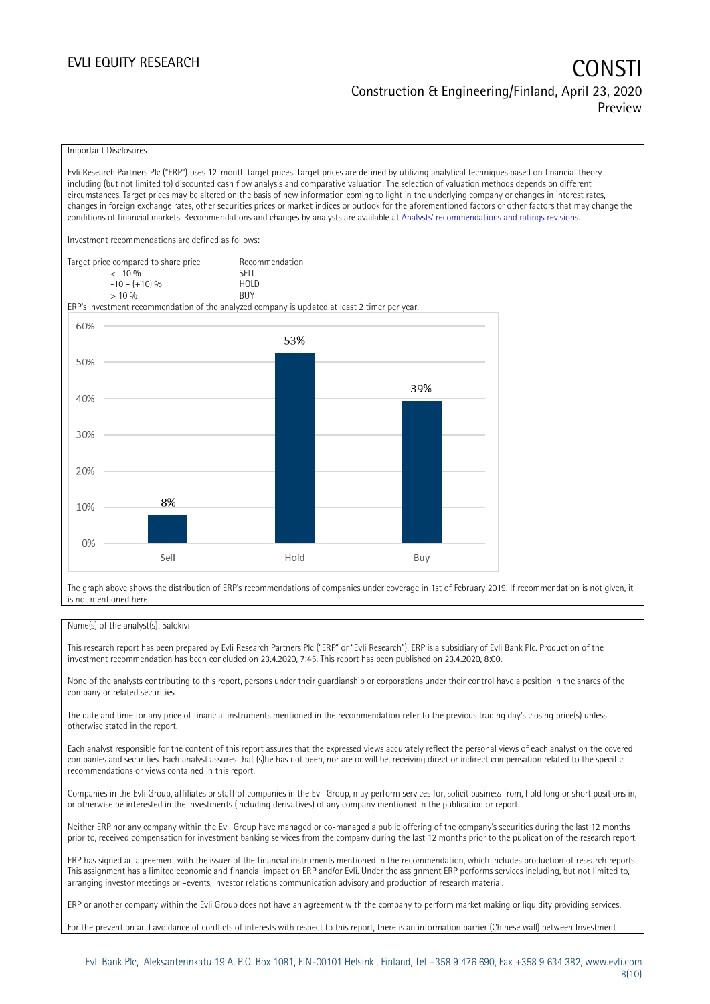## EVLI EQUITY RESEARCH **CONSTITUTE OF A CONSTITUTE OF A CONSTITUTE OF A CONSTITUTE OF A CONSTITUTE OF A CONSTITUTE** Construction & Engineering/Finland, April 23, 2020 Preview

#### Important Disclosures

Evli Research Partners Plc ("ERP") uses 12-month target prices. Target prices are defined by utilizing analytical techniques based on financial theory including (but not limited to) discounted cash flow analysis and comparative valuation. The selection of valuation methods depends on different circumstances. Target prices may be altered on the basis of new information coming to light in the underlying company or changes in interest rates, changes in foreign exchange rates, other securities prices or market indices or outlook for the aforementioned factors or other factors that may change the conditions of financial markets. Recommendations and changes by analysts are available at [Analysts' recommendatio](https://research.evli.com/JasperAllModels.action?authParam=key;461&authParam=x;G3rNagWrtf7K&authType=3)ns and ratings revisions.

Investment recommendations are defined as follows:

| Target price compared to share price | Recommendation                |
|--------------------------------------|-------------------------------|
| $<-10.06$                            | <b>SFII</b>                   |
| $-10 - (+10)$ %                      | H <sub>O</sub> I <sub>D</sub> |
| $> 10\%$                             | <b>BUY</b>                    |

ERP's investment recommendation of the analyzed company is updated at least 2 timer per year.



The graph above shows the distribution of ERP's recommendations of companies under coverage in 1st of February 2019. If recommendation is not given, it is not mentioned here.

#### Name(s) of the analyst(s): Salokivi

This research report has been prepared by Evli Research Partners Plc ("ERP" or "Evli Research"). ERP is a subsidiary of Evli Bank Plc. Production of the investment recommendation has been concluded on 23.4.2020, 7:45. This report has been published on 23.4.2020, 8:00.

None of the analysts contributing to this report, persons under their guardianship or corporations under their control have a position in the shares of the company or related securities.

The date and time for any price of financial instruments mentioned in the recommendation refer to the previous trading day's closing price(s) unless otherwise stated in the report.

Each analyst responsible for the content of this report assures that the expressed views accurately reflect the personal views of each analyst on the covered companies and securities. Each analyst assures that (s)he has not been, nor are or will be, receiving direct or indirect compensation related to the specific recommendations or views contained in this report.

Companies in the Evli Group, affiliates or staff of companies in the Evli Group, may perform services for, solicit business from, hold long or short positions in, or otherwise be interested in the investments (including derivatives) of any company mentioned in the publication or report.

Neither ERP nor any company within the Evli Group have managed or co-managed a public offering of the company's securities during the last 12 months prior to, received compensation for investment banking services from the company during the last 12 months prior to the publication of the research report.

ERP has signed an agreement with the issuer of the financial instruments mentioned in the recommendation, which includes production of research reports. This assignment has a limited economic and financial impact on ERP and/or Evli. Under the assignment ERP performs services including, but not limited to, arranging investor meetings or –events, investor relations communication advisory and production of research material.

ERP or another company within the Evli Group does not have an agreement with the company to perform market making or liquidity providing services.

For the prevention and avoidance of conflicts of interests with respect to this report, there is an information barrier (Chinese wall) between Investment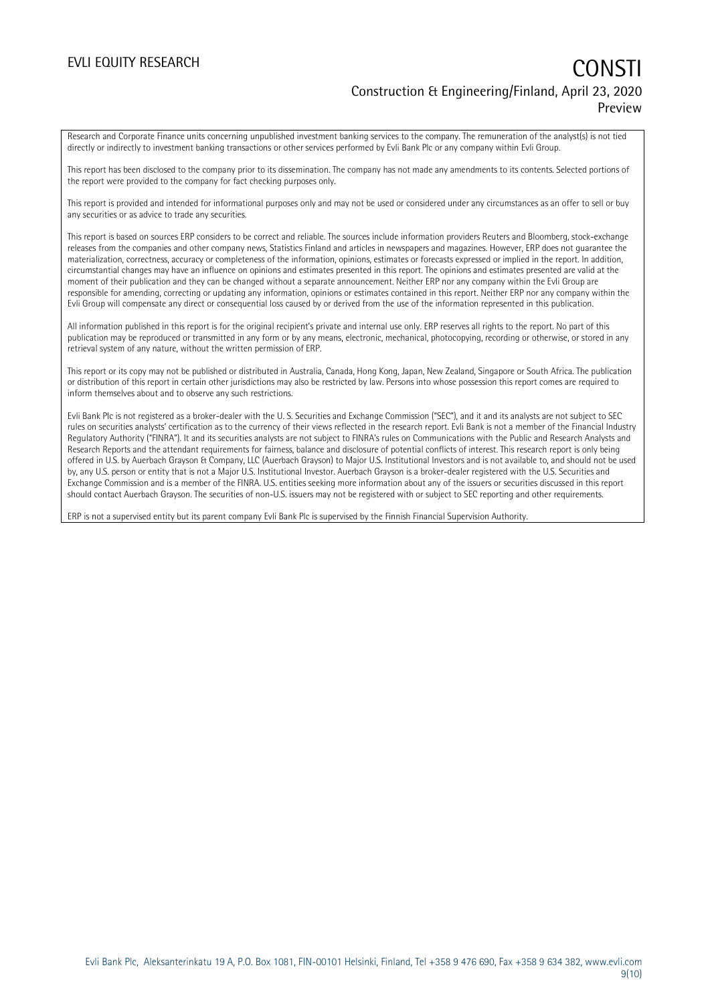## EVLI EQUITY RESEARCH **CONSTITUTE OF A CONSTITUTE OF A CONSTITUTE OF A CONSTITUTE OF A CONSTITUTE OF A CONSTITUTE** Construction & Engineering/Finland, April 23, 2020 Preview

Research and Corporate Finance units concerning unpublished investment banking services to the company. The remuneration of the analyst(s) is not tied directly or indirectly to investment banking transactions or other services performed by Evli Bank Plc or any company within Evli Group.

This report has been disclosed to the company prior to its dissemination. The company has not made any amendments to its contents. Selected portions of the report were provided to the company for fact checking purposes only.

This report is provided and intended for informational purposes only and may not be used or considered under any circumstances as an offer to sell or buy any securities or as advice to trade any securities.

This report is based on sources ERP considers to be correct and reliable. The sources include information providers Reuters and Bloomberg, stock-exchange releases from the companies and other company news, Statistics Finland and articles in newspapers and magazines. However, ERP does not guarantee the materialization, correctness, accuracy or completeness of the information, opinions, estimates or forecasts expressed or implied in the report. In addition, circumstantial changes may have an influence on opinions and estimates presented in this report. The opinions and estimates presented are valid at the moment of their publication and they can be changed without a separate announcement. Neither ERP nor any company within the Evli Group are responsible for amending, correcting or updating any information, opinions or estimates contained in this report. Neither ERP nor any company within the Evli Group will compensate any direct or consequential loss caused by or derived from the use of the information represented in this publication.

All information published in this report is for the original recipient's private and internal use only. ERP reserves all rights to the report. No part of this publication may be reproduced or transmitted in any form or by any means, electronic, mechanical, photocopying, recording or otherwise, or stored in any retrieval system of any nature, without the written permission of ERP.

This report or its copy may not be published or distributed in Australia, Canada, Hong Kong, Japan, New Zealand, Singapore or South Africa. The publication or distribution of this report in certain other jurisdictions may also be restricted by law. Persons into whose possession this report comes are required to inform themselves about and to observe any such restrictions.

Evli Bank Plc is not registered as a broker-dealer with the U. S. Securities and Exchange Commission ("SEC"), and it and its analysts are not subject to SEC rules on securities analysts' certification as to the currency of their views reflected in the research report. Evli Bank is not a member of the Financial Industry Regulatory Authority ("FINRA"). It and its securities analysts are not subject to FINRA's rules on Communications with the Public and Research Analysts and Research Reports and the attendant requirements for fairness, balance and disclosure of potential conflicts of interest. This research report is only being offered in U.S. by Auerbach Grayson & Company, LLC (Auerbach Grayson) to Major U.S. Institutional Investors and is not available to, and should not be used by, any U.S. person or entity that is not a Major U.S. Institutional Investor. Auerbach Grayson is a broker-dealer registered with the U.S. Securities and Exchange Commission and is a member of the FINRA. U.S. entities seeking more information about any of the issuers or securities discussed in this report should contact Auerbach Grayson. The securities of non-U.S. issuers may not be registered with or subject to SEC reporting and other requirements.

ERP is not a supervised entity but its parent company Evli Bank Plc is supervised by the Finnish Financial Supervision Authority.